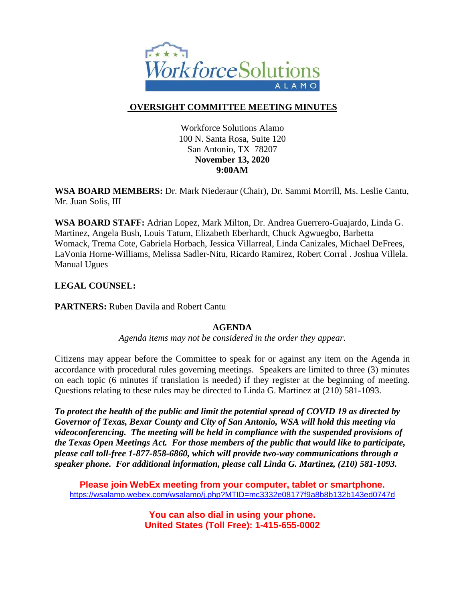

# **OVERSIGHT COMMITTEE MEETING MINUTES**

Workforce Solutions Alamo 100 N. Santa Rosa, Suite 120 San Antonio, TX 78207 **November 13, 2020 9:00AM**

**WSA BOARD MEMBERS:** Dr. Mark Niederaur (Chair), Dr. Sammi Morrill, Ms. Leslie Cantu, Mr. Juan Solis, III

**WSA BOARD STAFF:** Adrian Lopez, Mark Milton, Dr. Andrea Guerrero-Guajardo, Linda G. Martinez, Angela Bush, Louis Tatum, Elizabeth Eberhardt, Chuck Agwuegbo, Barbetta Womack, Trema Cote, Gabriela Horbach, Jessica Villarreal, Linda Canizales, Michael DeFrees, LaVonia Horne-Williams, Melissa Sadler-Nitu, Ricardo Ramirez, Robert Corral . Joshua Villela. Manual Ugues

## **LEGAL COUNSEL:**

**PARTNERS:** Ruben Davila and Robert Cantu

## **AGENDA**

*Agenda items may not be considered in the order they appear.*

Citizens may appear before the Committee to speak for or against any item on the Agenda in accordance with procedural rules governing meetings. Speakers are limited to three (3) minutes on each topic (6 minutes if translation is needed) if they register at the beginning of meeting. Questions relating to these rules may be directed to Linda G. Martinez at (210) 581-1093.

*To protect the health of the public and limit the potential spread of COVID 19 as directed by Governor of Texas, Bexar County and City of San Antonio, WSA will hold this meeting via videoconferencing. The meeting will be held in compliance with the suspended provisions of the Texas Open Meetings Act. For those members of the public that would like to participate, please call toll-free 1-877-858-6860, which will provide two-way communications through a speaker phone. For additional information, please call Linda G. Martinez, (210) 581-1093.* 

**Please join WebEx meeting from your computer, tablet or smartphone.**  <https://wsalamo.webex.com/wsalamo/j.php?MTID=mc3332e08177f9a8b8b132b143ed0747d>

> **You can also dial in using your phone. United States (Toll Free): 1-415-655-0002**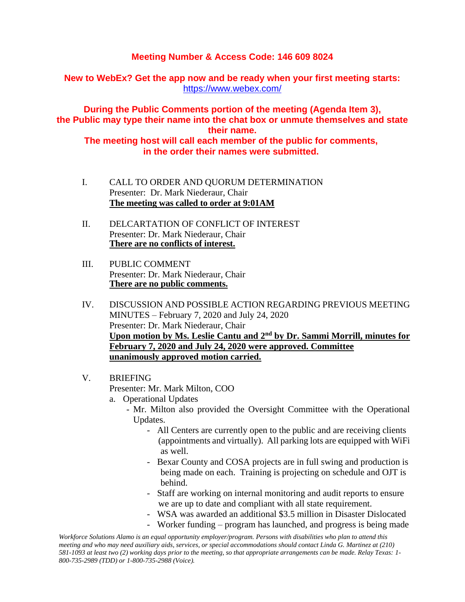## **Meeting Number & Access Code: 146 609 8024**

**New to WebEx? Get the app now and be ready when your first meeting starts:**  <https://www.webex.com/>

**During the Public Comments portion of the meeting (Agenda Item 3), the Public may type their name into the chat box or unmute themselves and state their name.**

**The meeting host will call each member of the public for comments, in the order their names were submitted.**

- I. CALL TO ORDER AND QUORUM DETERMINATION Presenter: Dr. Mark Niederaur, Chair **The meeting was called to order at 9:01AM**
- II. DELCARTATION OF CONFLICT OF INTEREST Presenter: Dr. Mark Niederaur, Chair **There are no conflicts of interest.**
- III. PUBLIC COMMENT Presenter: Dr. Mark Niederaur, Chair **There are no public comments.**
- IV. DISCUSSION AND POSSIBLE ACTION REGARDING PREVIOUS MEETING MINUTES – February 7, 2020 and July 24, 2020 Presenter: Dr. Mark Niederaur, Chair **Upon motion by Ms. Leslie Cantu and 2nd by Dr. Sammi Morrill, minutes for February 7, 2020 and July 24, 2020 were approved. Committee unanimously approved motion carried.**
- V. BRIEFING

Presenter: Mr. Mark Milton, COO

- a. Operational Updates
	- Mr. Milton also provided the Oversight Committee with the Operational Updates.
		- All Centers are currently open to the public and are receiving clients (appointments and virtually). All parking lots are equipped with WiFi as well.
		- Bexar County and COSA projects are in full swing and production is being made on each. Training is projecting on schedule and OJT is behind.
		- Staff are working on internal monitoring and audit reports to ensure we are up to date and compliant with all state requirement.
		- WSA was awarded an additional \$3.5 million in Disaster Dislocated
		- Worker funding program has launched, and progress is being made

*Workforce Solutions Alamo is an equal opportunity employer/program. Persons with disabilities who plan to attend this meeting and who may need auxiliary aids, services, or special accommodations should contact Linda G. Martinez at (210) 581-1093 at least two (2) working days prior to the meeting, so that appropriate arrangements can be made. Relay Texas: 1- 800-735-2989 (TDD) or 1-800-735-2988 (Voice).*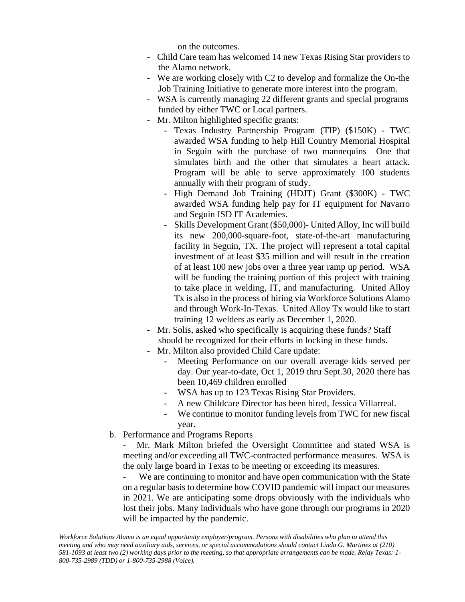on the outcomes.

- Child Care team has welcomed 14 new Texas Rising Star providers to the Alamo network.
- We are working closely with C2 to develop and formalize the On-the Job Training Initiative to generate more interest into the program.
- WSA is currently managing 22 different grants and special programs funded by either TWC or Local partners.
- Mr. Milton highlighted specific grants:
	- Texas Industry Partnership Program (TIP) (\$150K) TWC awarded WSA funding to help Hill Country Memorial Hospital in Seguin with the purchase of two mannequins One that simulates birth and the other that simulates a heart attack. Program will be able to serve approximately 100 students annually with their program of study.
	- High Demand Job Training (HDJT) Grant (\$300K) TWC awarded WSA funding help pay for IT equipment for Navarro and Seguin ISD IT Academies.
	- Skills Development Grant (\$50,000)- United Alloy, Inc will build its new 200,000-square-foot, state-of-the-art manufacturing facility in Seguin, TX. The project will represent a total capital investment of at least \$35 million and will result in the creation of at least 100 new jobs over a three year ramp up period. WSA will be funding the training portion of this project with training to take place in welding, IT, and manufacturing. United Alloy Tx is also in the process of hiring via Workforce Solutions Alamo and through Work-In-Texas. United Alloy Tx would like to start training 12 welders as early as December 1, 2020.
- Mr. Solis, asked who specifically is acquiring these funds? Staff should be recognized for their efforts in locking in these funds.
- Mr. Milton also provided Child Care update:
	- Meeting Performance on our overall average kids served per day. Our year-to-date, Oct 1, 2019 thru Sept.30, 2020 there has been 10,469 children enrolled
	- WSA has up to 123 Texas Rising Star Providers.
	- A new Childcare Director has been hired, Jessica Villarreal.
	- We continue to monitor funding levels from TWC for new fiscal year.
- b. Performance and Programs Reports

Mr. Mark Milton briefed the Oversight Committee and stated WSA is meeting and/or exceeding all TWC-contracted performance measures. WSA is the only large board in Texas to be meeting or exceeding its measures.

We are continuing to monitor and have open communication with the State on a regular basis to determine how COVID pandemic will impact our measures in 2021. We are anticipating some drops obviously with the individuals who lost their jobs. Many individuals who have gone through our programs in 2020 will be impacted by the pandemic.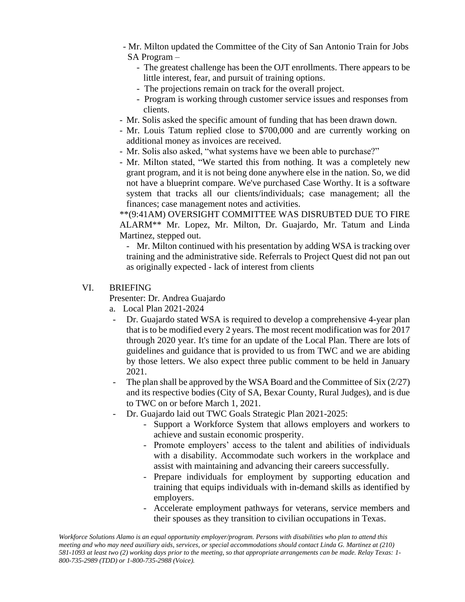- Mr. Milton updated the Committee of the City of San Antonio Train for Jobs SA Program –
	- The greatest challenge has been the OJT enrollments. There appears to be little interest, fear, and pursuit of training options.
	- The projections remain on track for the overall project.
	- Program is working through customer service issues and responses from clients.
- Mr. Solis asked the specific amount of funding that has been drawn down.
- Mr. Louis Tatum replied close to \$700,000 and are currently working on additional money as invoices are received.
- Mr. Solis also asked, "what systems have we been able to purchase?"
- Mr. Milton stated, "We started this from nothing. It was a completely new grant program, and it is not being done anywhere else in the nation. So, we did not have a blueprint compare. We've purchased Case Worthy. It is a software system that tracks all our clients/individuals; case management; all the finances; case management notes and activities.

\*\*(9:41AM) OVERSIGHT COMMITTEE WAS DISRUBTED DUE TO FIRE ALARM\*\* Mr. Lopez, Mr. Milton, Dr. Guajardo, Mr. Tatum and Linda Martinez, stepped out.

- Mr. Milton continued with his presentation by adding WSA is tracking over training and the administrative side. Referrals to Project Quest did not pan out as originally expected - lack of interest from clients

#### VI. BRIEFING

Presenter: Dr. Andrea Guajardo

- a. Local Plan 2021-2024
- Dr. Guajardo stated WSA is required to develop a comprehensive 4-year plan that is to be modified every 2 years. The most recent modification was for 2017 through 2020 year. It's time for an update of the Local Plan. There are lots of guidelines and guidance that is provided to us from TWC and we are abiding by those letters. We also expect three public comment to be held in January 2021.
- The plan shall be approved by the WSA Board and the Committee of Six (2/27) and its respective bodies (City of SA, Bexar County, Rural Judges), and is due to TWC on or before March 1, 2021.
- Dr. Guajardo laid out TWC Goals Strategic Plan 2021-2025:
	- Support a Workforce System that allows employers and workers to achieve and sustain economic prosperity.
	- Promote employers' access to the talent and abilities of individuals with a disability. Accommodate such workers in the workplace and assist with maintaining and advancing their careers successfully.
	- Prepare individuals for employment by supporting education and training that equips individuals with in-demand skills as identified by employers.
	- Accelerate employment pathways for veterans, service members and their spouses as they transition to civilian occupations in Texas.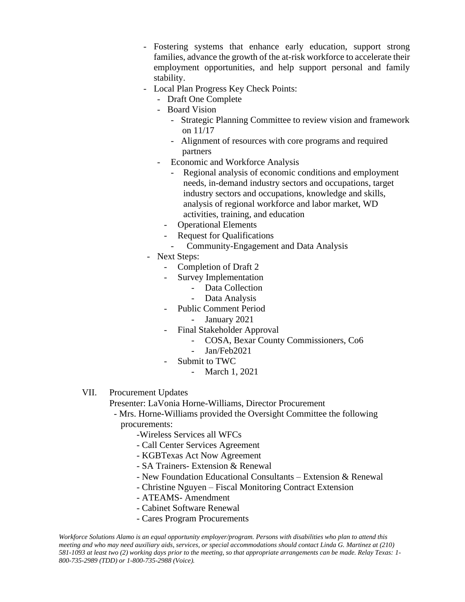- Fostering systems that enhance early education, support strong families, advance the growth of the at-risk workforce to accelerate their employment opportunities, and help support personal and family stability.
- Local Plan Progress Key Check Points:
	- Draft One Complete
	- Board Vision
		- Strategic Planning Committee to review vision and framework on 11/17
		- Alignment of resources with core programs and required partners
	- Economic and Workforce Analysis
		- Regional analysis of economic conditions and employment needs, in-demand industry sectors and occupations, target industry sectors and occupations, knowledge and skills, analysis of regional workforce and labor market, WD activities, training, and education
		- Operational Elements
		- Request for Qualifications
			- Community-Engagement and Data Analysis
- Next Steps:
	- Completion of Draft 2
	- Survey Implementation
		- Data Collection
		- Data Analysis
	- Public Comment Period
		- January 2021
	- Final Stakeholder Approval
		- COSA, Bexar County Commissioners, Co6
		- Jan/Feb2021
		- Submit to TWC
			- March 1, 2021
- VII. Procurement Updates

Presenter: LaVonia Horne-Williams, Director Procurement

- Mrs. Horne-Williams provided the Oversight Committee the following procurements:
	- -Wireless Services all WFCs
	- Call Center Services Agreement
	- KGBTexas Act Now Agreement
	- SA Trainers- Extension & Renewal
	- New Foundation Educational Consultants Extension & Renewal
	- Christine Nguyen Fiscal Monitoring Contract Extension
	- ATEAMS- Amendment
	- Cabinet Software Renewal
	- Cares Program Procurements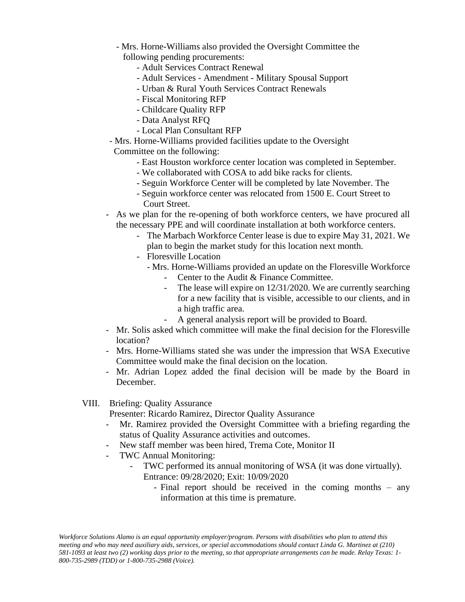- Mrs. Horne-Williams also provided the Oversight Committee the following pending procurements:
	- Adult Services Contract Renewal
	- Adult Services Amendment Military Spousal Support
	- Urban & Rural Youth Services Contract Renewals
	- Fiscal Monitoring RFP
	- Childcare Quality RFP
	- Data Analyst RFQ
	- Local Plan Consultant RFP
- Mrs. Horne-Williams provided facilities update to the Oversight Committee on the following:
	- East Houston workforce center location was completed in September.
	- We collaborated with COSA to add bike racks for clients.
	- Seguin Workforce Center will be completed by late November. The
	- Seguin workforce center was relocated from 1500 E. Court Street to Court Street.
- As we plan for the re-opening of both workforce centers, we have procured all the necessary PPE and will coordinate installation at both workforce centers.
	- The Marbach Workforce Center lease is due to expire May 31, 2021. We plan to begin the market study for this location next month.
	- Floresville Location
		- Mrs. Horne-Williams provided an update on the Floresville Workforce
			- Center to the Audit & Finance Committee.
			- The lease will expire on 12/31/2020. We are currently searching for a new facility that is visible, accessible to our clients, and in a high traffic area.
			- A general analysis report will be provided to Board.
- Mr. Solis asked which committee will make the final decision for the Floresville location?
- Mrs. Horne-Williams stated she was under the impression that WSA Executive Committee would make the final decision on the location.
- Mr. Adrian Lopez added the final decision will be made by the Board in December.

#### VIII. Briefing: Quality Assurance

Presenter: Ricardo Ramirez, Director Quality Assurance

- Mr. Ramirez provided the Oversight Committee with a briefing regarding the status of Quality Assurance activities and outcomes.
- New staff member was been hired, Trema Cote, Monitor II
- TWC Annual Monitoring:
	- TWC performed its annual monitoring of WSA (it was done virtually). Entrance: 09/28/2020; Exit: 10/09/2020
		- Final report should be received in the coming months any information at this time is premature.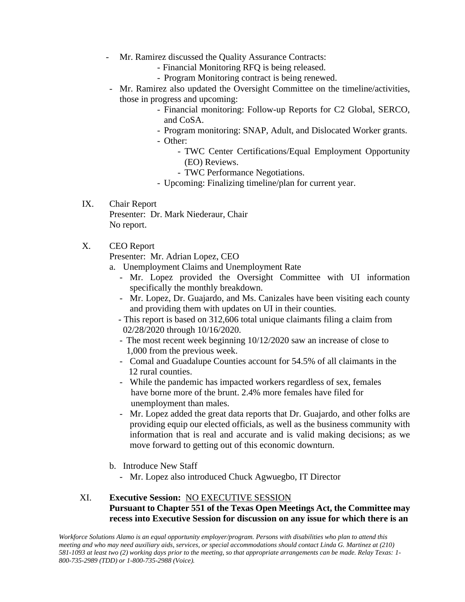- Mr. Ramirez discussed the Quality Assurance Contracts:
	- Financial Monitoring RFQ is being released.
	- Program Monitoring contract is being renewed.
- Mr. Ramirez also updated the Oversight Committee on the timeline/activities, those in progress and upcoming:
	- Financial monitoring: Follow-up Reports for C2 Global, SERCO, and CoSA.
	- Program monitoring: SNAP, Adult, and Dislocated Worker grants. - Other:
		- TWC Center Certifications/Equal Employment Opportunity (EO) Reviews.
		- TWC Performance Negotiations.
	- Upcoming: Finalizing timeline/plan for current year.
- IX. Chair Report Presenter: Dr. Mark Niederaur, Chair No report.

#### X. CEO Report

Presenter: Mr. Adrian Lopez, CEO

- a. Unemployment Claims and Unemployment Rate
	- Mr. Lopez provided the Oversight Committee with UI information specifically the monthly breakdown.
	- Mr. Lopez, Dr. Guajardo, and Ms. Canizales have been visiting each county and providing them with updates on UI in their counties.
	- This report is based on 312,606 total unique claimants filing a claim from 02/28/2020 through 10/16/2020.
	- The most recent week beginning 10/12/2020 saw an increase of close to 1,000 from the previous week.
	- Comal and Guadalupe Counties account for 54.5% of all claimants in the 12 rural counties.
	- While the pandemic has impacted workers regardless of sex, females have borne more of the brunt. 2.4% more females have filed for unemployment than males.
	- Mr. Lopez added the great data reports that Dr. Guajardo, and other folks are providing equip our elected officials, as well as the business community with information that is real and accurate and is valid making decisions; as we move forward to getting out of this economic downturn.
- b. Introduce New Staff
	- Mr. Lopez also introduced Chuck Agwuegbo, IT Director

### XI. **Executive Session:** NO EXECUTIVE SESSION **Pursuant to Chapter 551 of the Texas Open Meetings Act, the Committee may recess into Executive Session for discussion on any issue for which there is an**